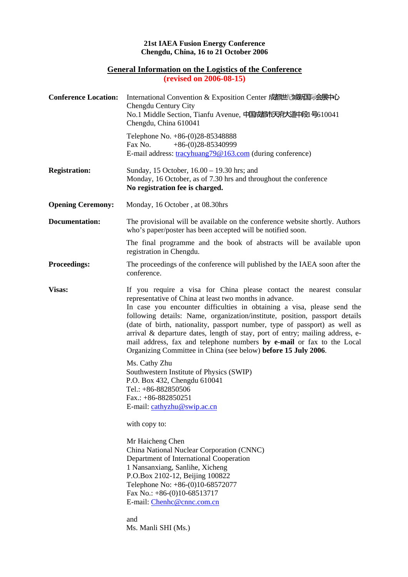## **21st IAEA Fusion Energy Conference Chengdu, China, 16 to 21 October 2006**

## **General Information on the Logistics of the Conference**

**(revised on 2006-08-15)** 

| <b>Conference Location:</b> | International Convention & Exposition Center 成都世纪城市国际会展中心<br>Chengdu Century City<br>No.1 Middle Section, Tianfu Avenue, 中国成都市天府大道中段1号610041<br>Chengdu, China 610041                                                                                                                                                                                                                                                                                                                                                                                                                              |
|-----------------------------|----------------------------------------------------------------------------------------------------------------------------------------------------------------------------------------------------------------------------------------------------------------------------------------------------------------------------------------------------------------------------------------------------------------------------------------------------------------------------------------------------------------------------------------------------------------------------------------------------|
|                             | Telephone No. +86-(0)28-85348888<br>$+86-(0)28-85340999$<br>Fax No.<br>E-mail address: tracyhuang79@163.com (during conference)                                                                                                                                                                                                                                                                                                                                                                                                                                                                    |
| <b>Registration:</b>        | Sunday, 15 October, 16.00 – 19.30 hrs; and<br>Monday, 16 October, as of 7.30 hrs and throughout the conference<br>No registration fee is charged.                                                                                                                                                                                                                                                                                                                                                                                                                                                  |
| <b>Opening Ceremony:</b>    | Monday, 16 October, at 08.30hrs                                                                                                                                                                                                                                                                                                                                                                                                                                                                                                                                                                    |
| <b>Documentation:</b>       | The provisional will be available on the conference website shortly. Authors<br>who's paper/poster has been accepted will be notified soon.                                                                                                                                                                                                                                                                                                                                                                                                                                                        |
|                             | The final programme and the book of abstracts will be available upon<br>registration in Chengdu.                                                                                                                                                                                                                                                                                                                                                                                                                                                                                                   |
| <b>Proceedings:</b>         | The proceedings of the conference will published by the IAEA soon after the<br>conference.                                                                                                                                                                                                                                                                                                                                                                                                                                                                                                         |
| Visas:                      | If you require a visa for China please contact the nearest consular<br>representative of China at least two months in advance.<br>In case you encounter difficulties in obtaining a visa, please send the<br>following details: Name, organization/institute, position, passport details<br>(date of birth, nationality, passport number, type of passport) as well as<br>arrival & departure dates, length of stay, port of entry; mailing address, e-<br>mail address, fax and telephone numbers by e-mail or fax to the Local<br>Organizing Committee in China (see below) before 15 July 2006. |
|                             | Ms. Cathy Zhu<br>Southwestern Institute of Physics (SWIP)<br>P.O. Box 432, Chengdu 610041<br>Tel.: +86-882850506<br>Fax.: $+86-882850251$<br>E-mail: cathyzhu@swip.ac.cn                                                                                                                                                                                                                                                                                                                                                                                                                           |
|                             | with copy to:                                                                                                                                                                                                                                                                                                                                                                                                                                                                                                                                                                                      |
|                             | Mr Haicheng Chen<br>China National Nuclear Corporation (CNNC)<br>Department of International Cooperation<br>1 Nansanxiang, Sanlihe, Xicheng<br>P.O.Box 2102-12, Beijing 100822<br>Telephone No: +86-(0)10-68572077<br>Fax No.: $+86-(0)10-68513717$<br>E-mail: Chenhc@cnnc.com.cn<br>and<br>Ms. Manli SHI (Ms.)                                                                                                                                                                                                                                                                                    |
|                             |                                                                                                                                                                                                                                                                                                                                                                                                                                                                                                                                                                                                    |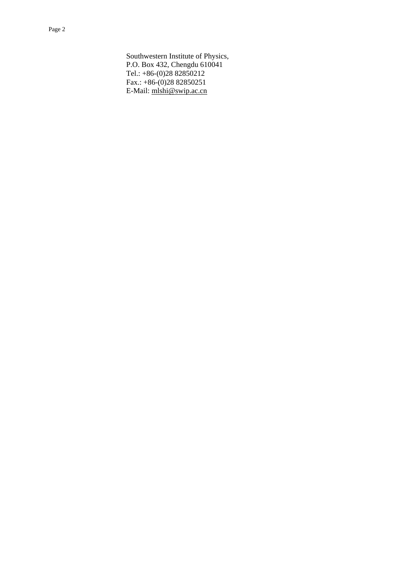Southwestern Institute of Physics, P.O. Box 432, Chengdu 610041 Tel.: +86-(0)28 82850212 Fax.:  $+86-(0)2882850251$ E-Mail: mlshi@swip.ac.cn